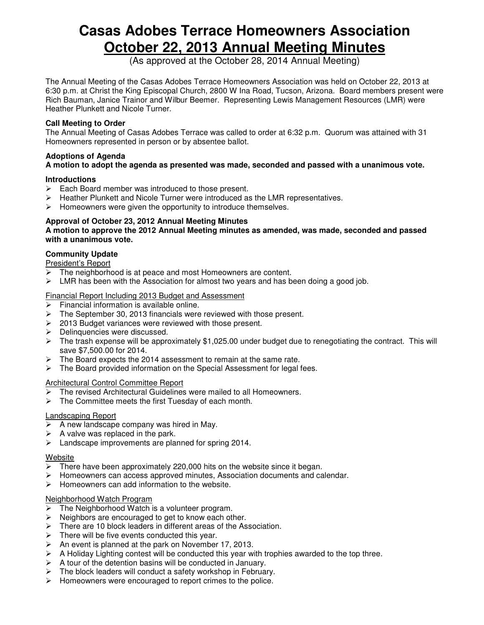# **Casas Adobes Terrace Homeowners Association October 22, 2013 Annual Meeting Minutes**

(As approved at the October 28, 2014 Annual Meeting)

The Annual Meeting of the Casas Adobes Terrace Homeowners Association was held on October 22, 2013 at 6:30 p.m. at Christ the King Episcopal Church, 2800 W Ina Road, Tucson, Arizona. Board members present were Rich Bauman, Janice Trainor and Wilbur Beemer. Representing Lewis Management Resources (LMR) were Heather Plunkett and Nicole Turner.

## **Call Meeting to Order**

The Annual Meeting of Casas Adobes Terrace was called to order at 6:32 p.m. Quorum was attained with 31 Homeowners represented in person or by absentee ballot.

#### **Adoptions of Agenda A motion to adopt the agenda as presented was made, seconded and passed with a unanimous vote.**

## **Introductions**

- $\triangleright$  Each Board member was introduced to those present.
- > Heather Plunkett and Nicole Turner were introduced as the LMR representatives.
- $\triangleright$  Homeowners were given the opportunity to introduce themselves.

## **Approval of October 23, 2012 Annual Meeting Minutes**

**A motion to approve the 2012 Annual Meeting minutes as amended, was made, seconded and passed with a unanimous vote.** 

## **Community Update**

President's Report

- The neighborhood is at peace and most Homeowners are content.
- $\triangleright$  LMR has been with the Association for almost two years and has been doing a good job.

## Financial Report Including 2013 Budget and Assessment

- $\triangleright$  Financial information is available online.
- $\triangleright$  The September 30, 2013 financials were reviewed with those present.
- $\geq$  2013 Budget variances were reviewed with those present.
- $\triangleright$  Delinquencies were discussed.
- $\triangleright$  The trash expense will be approximately \$1,025.00 under budget due to renegotiating the contract. This will save \$7,500.00 for 2014.
- $\triangleright$  The Board expects the 2014 assessment to remain at the same rate.
- > The Board provided information on the Special Assessment for legal fees.

#### Architectural Control Committee Report

- $\triangleright$  The revised Architectural Guidelines were mailed to all Homeowners.
- $\triangleright$  The Committee meets the first Tuesday of each month.

## Landscaping Report

- $\triangleright$  A new landscape company was hired in May.
- $\triangleright$  A valve was replaced in the park.
- > Landscape improvements are planned for spring 2014.

#### Website

- $\triangleright$  There have been approximately 220,000 hits on the website since it began.
- $\triangleright$  Homeowners can access approved minutes, Association documents and calendar.
- $\triangleright$  Homeowners can add information to the website.

## Neighborhood Watch Program

- $\triangleright$  The Neighborhood Watch is a volunteer program.
- $\triangleright$  Neighbors are encouraged to get to know each other.
- $\triangleright$  There are 10 block leaders in different areas of the Association.
- $\triangleright$  There will be five events conducted this year.
- $\triangleright$  An event is planned at the park on November 17, 2013.
- $\triangleright$  A Holiday Lighting contest will be conducted this year with trophies awarded to the top three.
- $\triangleright$  A tour of the detention basins will be conducted in January.
- $\triangleright$  The block leaders will conduct a safety workshop in February.
- $\triangleright$  Homeowners were encouraged to report crimes to the police.